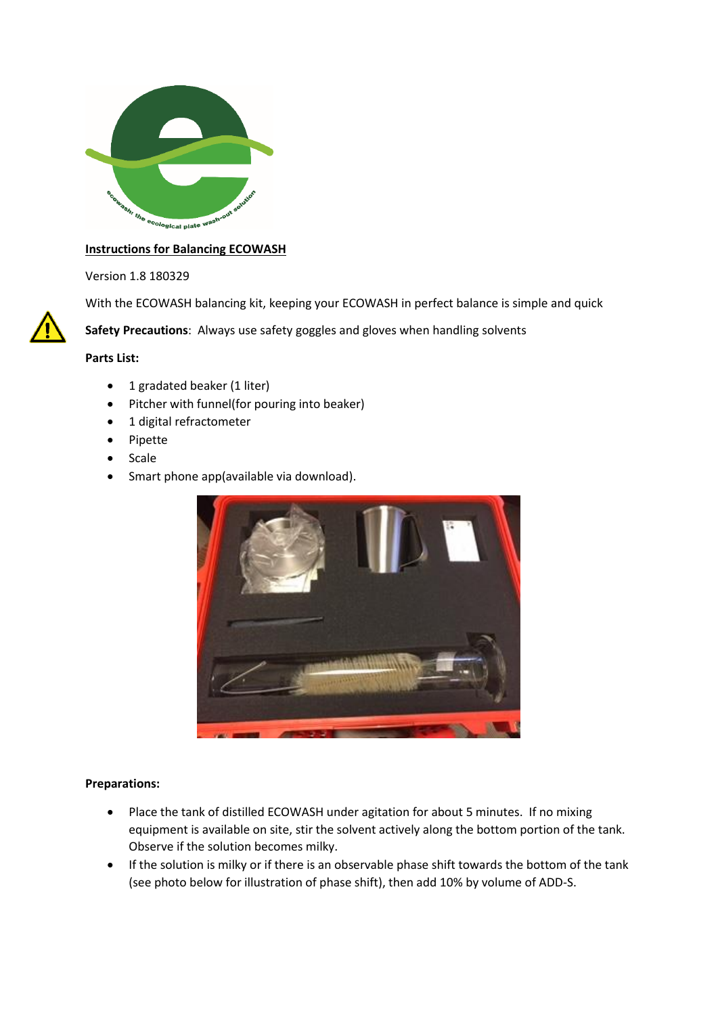

#### **Instructions for Balancing ECOWASH**

Version 1.8 180329

With the ECOWASH balancing kit, keeping your ECOWASH in perfect balance is simple and quick

**Safety Precautions**: Always use safety goggles and gloves when handling solvents

**Parts List:**

- 1 gradated beaker (1 liter)
- Pitcher with funnel(for pouring into beaker)
- 1 digital refractometer
- Pipette
- Scale
- Smart phone app(available via download).



#### **Preparations:**

- Place the tank of distilled ECOWASH under agitation for about 5 minutes. If no mixing equipment is available on site, stir the solvent actively along the bottom portion of the tank. Observe if the solution becomes milky.
- If the solution is milky or if there is an observable phase shift towards the bottom of the tank (see photo below for illustration of phase shift), then add 10% by volume of ADD-S.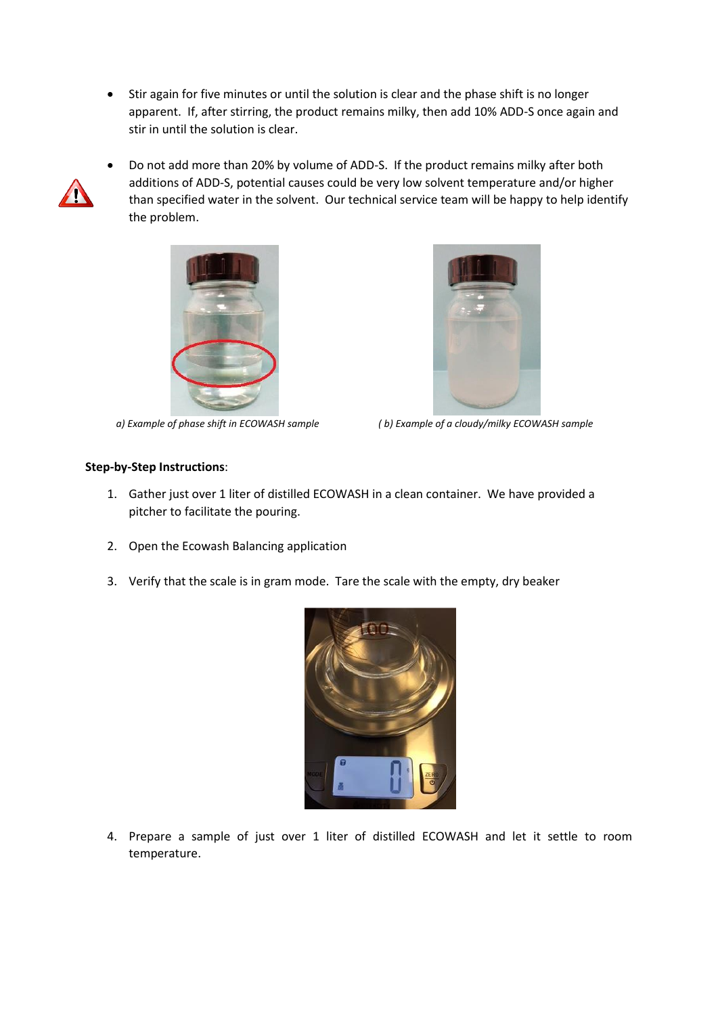Stir again for five minutes or until the solution is clear and the phase shift is no longer apparent. If, after stirring, the product remains milky, then add 10% ADD-S once again and stir in until the solution is clear.



 Do not add more than 20% by volume of ADD-S. If the product remains milky after both additions of ADD-S, potential causes could be very low solvent temperature and/or higher than specified water in the solvent. Our technical service team will be happy to help identify the problem.





*a) Example of phase shift in ECOWASH sample ( b) Example of a cloudy/milky ECOWASH sample*

### **Step-by-Step Instructions**:

- 1. Gather just over 1 liter of distilled ECOWASH in a clean container. We have provided a pitcher to facilitate the pouring.
- 2. Open the Ecowash Balancing application
- 3. Verify that the scale is in gram mode. Tare the scale with the empty, dry beaker



4. Prepare a sample of just over 1 liter of distilled ECOWASH and let it settle to room temperature.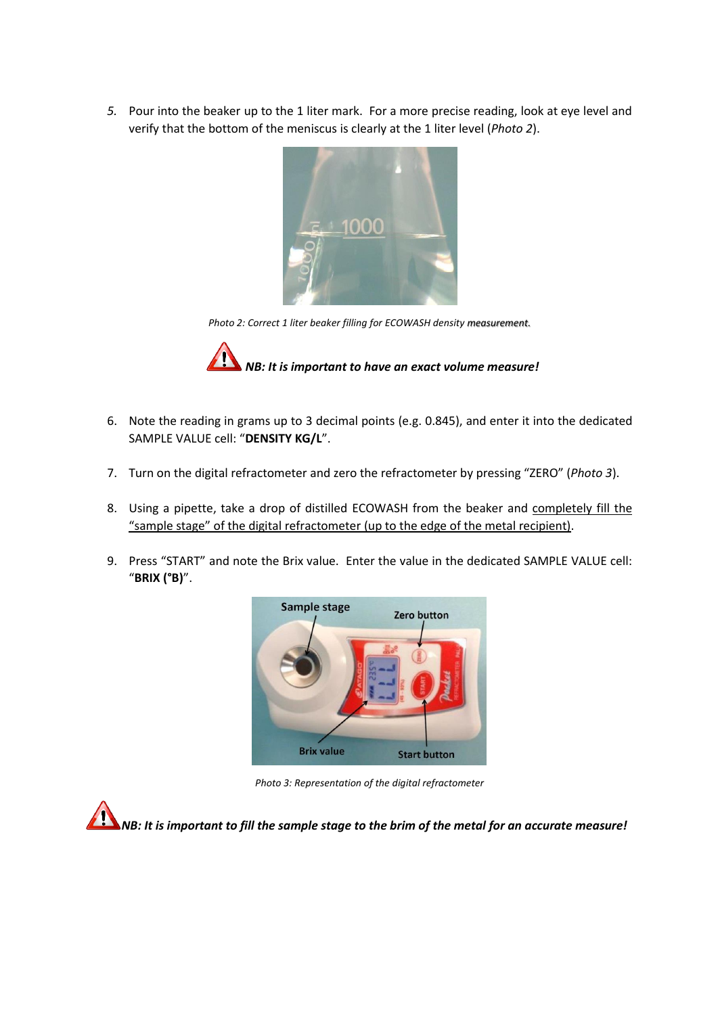*5.* Pour into the beaker up to the 1 liter mark. For a more precise reading, look at eye level and verify that the bottom of the meniscus is clearly at the 1 liter level (*Photo 2*).



*Photo 2: Correct 1 liter beaker filling for ECOWASH density measurement.*



- 6. Note the reading in grams up to 3 decimal points (e.g. 0.845), and enter it into the dedicated SAMPLE VALUE cell: "**DENSITY KG/L**".
- 7. Turn on the digital refractometer and zero the refractometer by pressing "ZERO" (*Photo 3*).
- 8. Using a pipette, take a drop of distilled ECOWASH from the beaker and completely fill the "sample stage" of the digital refractometer (up to the edge of the metal recipient).
- 9. Press "START" and note the Brix value. Enter the value in the dedicated SAMPLE VALUE cell: "**BRIX (°B)**".



*Photo 3: Representation of the digital refractometer*

*NB: It is important to fill the sample stage to the brim of the metal for an accurate measure!*